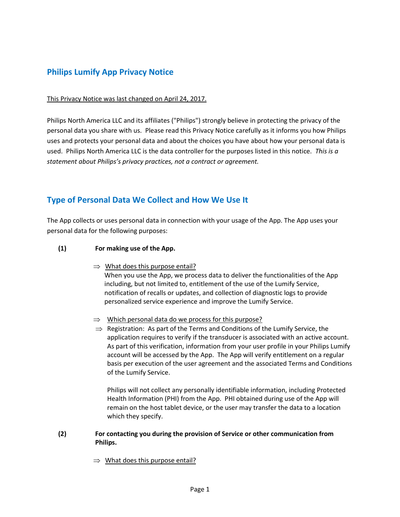# **Philips Lumify App Privacy Notice**

### This Privacy Notice was last changed on April 24, 2017.

Philips North America LLC and its affiliates ("Philips") strongly believe in protecting the privacy of the personal data you share with us. Please read this Privacy Notice carefully as it informs you how Philips uses and protects your personal data and about the choices you have about how your personal data is used. Philips North America LLC is the data controller for the purposes listed in this notice. *This is a statement about Philips's privacy practices, not a contract or agreement.*

## **Type of Personal Data We Collect and How We Use It**

The App collects or uses personal data in connection with your usage of the App. The App uses your personal data for the following purposes:

### **(1) For making use of the App.**

 $\Rightarrow$  What does this purpose entail?

When you use the App, we process data to deliver the functionalities of the App including, but not limited to, entitlement of the use of the Lumify Service, notification of recalls or updates, and collection of diagnostic logs to provide personalized service experience and improve the Lumify Service.

- $\Rightarrow$  Which personal data do we process for this purpose?
- $\Rightarrow$  Registration: As part of the Terms and Conditions of the Lumify Service, the application requires to verify if the transducer is associated with an active account. As part of this verification, information from your user profile in your Philips Lumify account will be accessed by the App. The App will verify entitlement on a regular basis per execution of the user agreement and the associated Terms and Conditions of the Lumify Service.

Philips will not collect any personally identifiable information, including Protected Health Information (PHI) from the App. PHI obtained during use of the App will remain on the host tablet device, or the user may transfer the data to a location which they specify.

#### **(2) For contacting you during the provision of Service or other communication from Philips.**

 $\Rightarrow$  What does this purpose entail?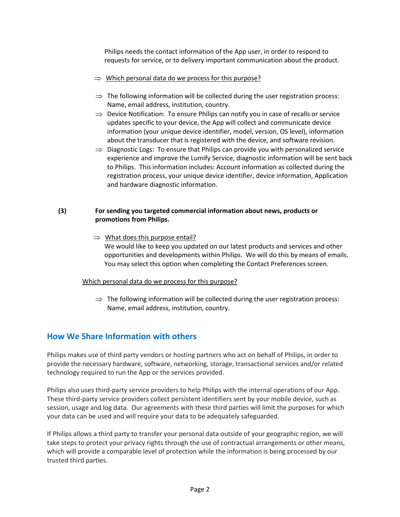Philips needs the contact information of the App user, in order to respond to requests for service, or to delivery important communication about the product.

- $\Rightarrow$  Which personal data do we process for this purpose?
- $\Rightarrow$  The following information will be collected during the user registration process: Name, email address, institution, country.
- $\Rightarrow$  Device Notification: To ensure Philips can notify you in case of recalls or service updates specific to your device, the App will collect and communicate device information (your unique device identifier, model, version, OS level), information about the transducer that is registered with the device, and software revision.
- $\Rightarrow$  Diagnostic Logs: To ensure that Philips can provide you with personalized service experience and improve the Lumify Service, diagnostic information will be sent back to Philips. This information includes: Account information as collected during the registration process, your unique device identifier, device information, Application and hardware diagnostic information.

### **(3) For sending you targeted commercial information about news, products or promotions from Philips.**

 $\Rightarrow$  What does this purpose entail? We would like to keep you updated on our latest products and services and other opportunities and developments within Philips. We will do this by means of emails. You may select this option when completing the Contact Preferences screen.

### Which personal data do we process for this purpose?

 $\Rightarrow$  The following information will be collected during the user registration process: Name, email address, institution, country.

# **How We Share Information with others**

Philips makes use of third party vendors or hosting partners who act on behalf of Philips, in order to provide the necessary hardware, software, networking, storage, transactional services and/or related technology required to run the App or the services provided.

Philips also uses third-party service providers to help Philips with the internal operations of our App. These third-party service providers collect persistent identifiers sent by your mobile device, such as session, usage and log data. Our agreements with these third parties will limit the purposes for which your data can be used and will require your data to be adequately safeguarded.

If Philips allows a third party to transfer your personal data outside of your geographic region, we will take steps to protect your privacy rights through the use of contractual arrangements or other means, which will provide a comparable level of protection while the information is being processed by our trusted third parties.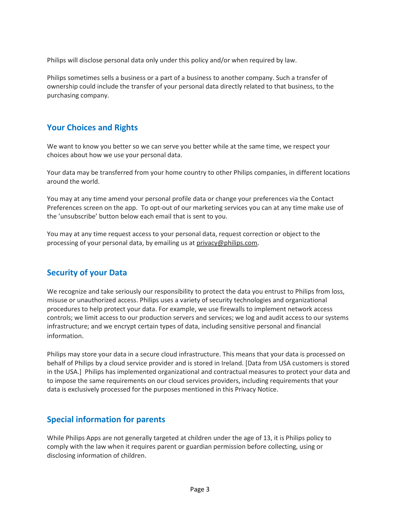Philips will disclose personal data only under this policy and/or when required by law.

Philips sometimes sells a business or a part of a business to another company. Such a transfer of ownership could include the transfer of your personal data directly related to that business, to the purchasing company.

### **Your Choices and Rights**

We want to know you better so we can serve you better while at the same time, we respect your choices about how we use your personal data.

Your data may be transferred from your home country to other Philips companies, in different locations around the world.

You may at any time amend your personal profile data or change your preferences via the Contact Preferences screen on the app. To opt-out of our marketing services you can at any time make use of the 'unsubscribe' button below each email that is sent to you.

You may at any time request access to your personal data, request correction or object to the processing of your personal data, by emailing us at [privacy@philips.com.](mailto:privacy@philips.com)

### **Security of your Data**

We recognize and take seriously our responsibility to protect the data you entrust to Philips from loss, misuse or unauthorized access. Philips uses a variety of security technologies and organizational procedures to help protect your data. For example, we use firewalls to implement network access controls; we limit access to our production servers and services; we log and audit access to our systems infrastructure; and we encrypt certain types of data, including sensitive personal and financial information.

Philips may store your data in a secure cloud infrastructure. This means that your data is processed on behalf of Philips by a cloud service provider and is stored in Ireland. [Data from USA customers is stored in the USA.] Philips has implemented organizational and contractual measures to protect your data and to impose the same requirements on our cloud services providers, including requirements that your data is exclusively processed for the purposes mentioned in this Privacy Notice.

## **Special information for parents**

While Philips Apps are not generally targeted at children under the age of 13, it is Philips policy to comply with the law when it requires parent or guardian permission before collecting, using or disclosing information of children.